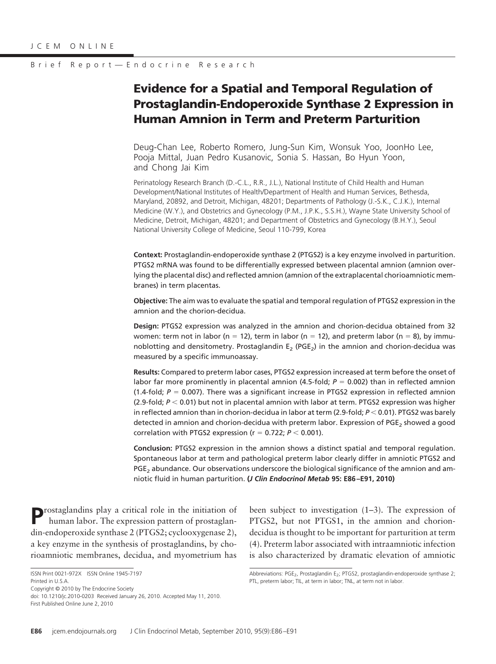# **Evidence for a Spatial and Temporal Regulation of Prostaglandin-Endoperoxide Synthase 2 Expression in Human Amnion in Term and Preterm Parturition**

Deug-Chan Lee, Roberto Romero, Jung-Sun Kim, Wonsuk Yoo, JoonHo Lee, Pooja Mittal, Juan Pedro Kusanovic, Sonia S. Hassan, Bo Hyun Yoon, and Chong Jai Kim

Perinatology Research Branch (D.-C.L., R.R., J.L.), National Institute of Child Health and Human Development/National Institutes of Health/Department of Health and Human Services, Bethesda, Maryland, 20892, and Detroit, Michigan, 48201; Departments of Pathology (J.-S.K., C.J.K.), Internal Medicine (W.Y.), and Obstetrics and Gynecology (P.M., J.P.K., S.S.H.), Wayne State University School of Medicine, Detroit, Michigan, 48201; and Department of Obstetrics and Gynecology (B.H.Y.), Seoul National University College of Medicine, Seoul 110-799, Korea

**Context:** Prostaglandin-endoperoxide synthase 2 (PTGS2) is a key enzyme involved in parturition. PTGS2 mRNA was found to be differentially expressed between placental amnion (amnion overlying the placental disc) and reflected amnion (amnion of the extraplacental chorioamniotic membranes) in term placentas.

**Objective:** The aim was to evaluate the spatial and temporal regulation of PTGS2 expression in the amnion and the chorion-decidua.

**Design:** PTGS2 expression was analyzed in the amnion and chorion-decidua obtained from 32 women: term not in labor (n = 12), term in labor (n = 12), and preterm labor (n = 8), by immunoblotting and densitometry. Prostaglandin  $E_2$  (PGE<sub>2</sub>) in the amnion and chorion-decidua was measured by a specific immunoassay.

**Results:** Compared to preterm labor cases, PTGS2 expression increased at term before the onset of labor far more prominently in placental amnion  $(4.5-fold; P = 0.002)$  than in reflected amnion (1.4-fold;  $P = 0.007$ ). There was a significant increase in PTGS2 expression in reflected amnion (2.9-fold;  $P < 0.01$ ) but not in placental amnion with labor at term. PTGS2 expression was higher in reflected amnion than in chorion-decidua in labor at term (2.9-fold;  $P$  < 0.01). PTGS2 was barely detected in amnion and chorion-decidua with preterm labor. Expression of PGE<sub>2</sub> showed a good correlation with PTGS2 expression ( $r = 0.722$ ;  $P < 0.001$ ).

**Conclusion:** PTGS2 expression in the amnion shows a distinct spatial and temporal regulation. Spontaneous labor at term and pathological preterm labor clearly differ in amniotic PTGS2 and PGE<sub>2</sub> abundance. Our observations underscore the biological significance of the amnion and amniotic fluid in human parturition. **(***J Clin Endocrinol Metab* **95: E86 –E91, 2010)**

**P**rostaglandins play a critical role in the initiation of human labor. The expression pattern of prostaglandin-endoperoxide synthase 2 (PTGS2; cyclooxygenase 2), a key enzyme in the synthesis of prostaglandins, by chorioamniotic membranes, decidua, and myometrium has

Copyright © 2010 by The Endocrine Society

doi: 10.1210/jc.2010-0203 Received January 26, 2010. Accepted May 11, 2010. First Published Online June 2, 2010

been subject to investigation (1–3). The expression of PTGS2, but not PTGS1, in the amnion and choriondecidua is thought to be important for parturition at term (4). Preterm labor associated with intraamniotic infection is also characterized by dramatic elevation of amniotic

ISSN Print 0021-972X ISSN Online 1945-7197 Printed in U.S.A.

Abbreviations: PGE<sub>2</sub>, Prostaglandin E<sub>2</sub>; PTGS2, prostaglandin-endoperoxide synthase 2; PTL, preterm labor; TIL, at term in labor; TNL, at term not in labor.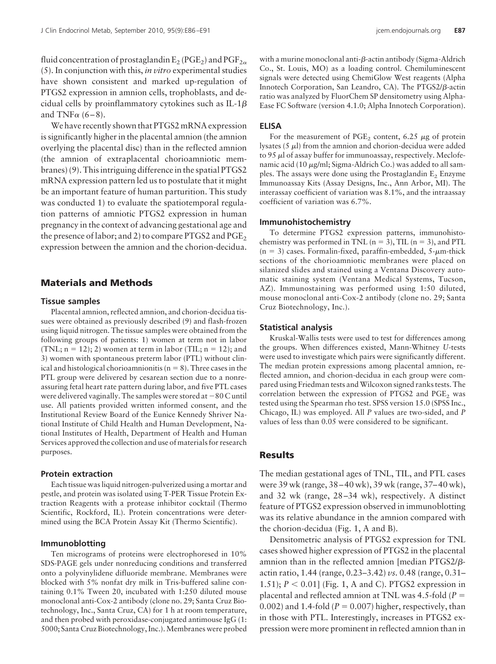fluid concentration of prostaglandin  $E_2$  (PGE<sub>2</sub>) and PGF<sub>2 $\alpha$ </sub> (5). In conjunction with this, *in vitro* experimental studies have shown consistent and marked up-regulation of PTGS2 expression in amnion cells, trophoblasts, and decidual cells by proinflammatory cytokines such as IL-1 $\beta$ and TNF $\alpha$  (6–8).

We have recently shown that PTGS2 mRNA expression is significantly higher in the placental amnion (the amnion overlying the placental disc) than in the reflected amnion (the amnion of extraplacental chorioamniotic membranes) (9). This intriguing difference in the spatial PTGS2 mRNA expression pattern led us to postulate that it might be an important feature of human parturition. This study was conducted 1) to evaluate the spatiotemporal regulation patterns of amniotic PTGS2 expression in human pregnancy in the context of advancing gestational age and the presence of labor; and 2) to compare PTGS2 and PGE<sub>2</sub> expression between the amnion and the chorion-decidua.

## **Materials and Methods**

#### **Tissue samples**

Placental amnion, reflected amnion, and chorion-decidua tissues were obtained as previously described (9) and flash-frozen using liquid nitrogen. The tissue samples were obtained from the following groups of patients: 1) women at term not in labor  $(TNL; n = 12); 2)$  women at term in labor (TIL;  $n = 12$ ); and 3) women with spontaneous preterm labor (PTL) without clinical and histological chorioamnionitis ( $n = 8$ ). Three cases in the PTL group were delivered by cesarean section due to a nonreassuring fetal heart rate pattern during labor, and five PTL cases were delivered vaginally. The samples were stored at  $-80$  C until use. All patients provided written informed consent, and the Institutional Review Board of the Eunice Kennedy Shriver National Institute of Child Health and Human Development, National Institutes of Health, Department of Health and Human Services approved the collection and use of materials for research purposes.

#### **Protein extraction**

Each tissue was liquid nitrogen-pulverized using a mortar and pestle, and protein was isolated using T-PER Tissue Protein Extraction Reagents with a protease inhibitor cocktail (Thermo Scientific, Rockford, IL). Protein concentrations were determined using the BCA Protein Assay Kit (Thermo Scientific).

## **Immunoblotting**

Ten micrograms of proteins were electrophoresed in 10% SDS-PAGE gels under nonreducing conditions and transferred onto a polyvinylidene difluoride membrane. Membranes were blocked with 5% nonfat dry milk in Tris-buffered saline containing 0.1% Tween 20, incubated with 1:250 diluted mouse monoclonal anti-Cox-2 antibody (clone no. 29; Santa Cruz Biotechnology, Inc., Santa Cruz, CA) for 1 h at room temperature, and then probed with peroxidase-conjugated antimouse IgG (1: 5000; Santa Cruz Biotechnology, Inc.).Membranes were probed

with a murine monoclonal anti-ß-actin antibody (Sigma-Aldrich Co., St. Louis, MO) as a loading control. Chemiluminescent signals were detected using ChemiGlow West reagents (Alpha Innotech Corporation, San Leandro, CA). The PTGS2/ß-actin ratio was analyzed by FluorChem SP densitometry using Alpha-Ease FC Software (version 4.1.0; Alpha Innotech Corporation).

#### **ELISA**

For the measurement of PGE<sub>2</sub> content, 6.25  $\mu$ g of protein lysates  $(5 \mu l)$  from the amnion and chorion-decidua were added to 95  $\mu$ l of assay buffer for immunoassay, respectively. Meclofenamic acid (10  $\mu$ g/ml; Sigma-Aldrich Co.) was added to all samples. The assays were done using the Prostaglandin  $E<sub>2</sub>$  Enzyme Immunoassay Kits (Assay Designs, Inc., Ann Arbor, MI). The interassay coefficient of variation was 8.1%, and the intraassay coefficient of variation was 6.7%.

#### **Immunohistochemistry**

To determine PTGS2 expression patterns, immunohistochemistry was performed in TNL ( $n = 3$ ), TIL ( $n = 3$ ), and PTL  $(n = 3)$  cases. Formalin-fixed, paraffin-embedded, 5- $\mu$ m-thick sections of the chorioamniotic membranes were placed on silanized slides and stained using a Ventana Discovery automatic staining system (Ventana Medical Systems, Tucson, AZ). Immunostaining was performed using 1:50 diluted, mouse monoclonal anti-Cox-2 antibody (clone no. 29; Santa Cruz Biotechnology, Inc.).

## **Statistical analysis**

Kruskal-Wallis tests were used to test for differences among the groups. When differences existed, Mann-Whitney *U*-tests were used to investigate which pairs were significantly different. The median protein expressions among placental amnion, reflected amnion, and chorion-decidua in each group were compared using Friedman tests and Wilcoxon signed ranks tests. The correlation between the expression of PTGS2 and  $PGE<sub>2</sub>$  was tested using the Spearman rho test. SPSS version 15.0 (SPSS Inc., Chicago, IL) was employed. All *P* values are two-sided, and *P* values of less than 0.05 were considered to be significant.

### **Results**

The median gestational ages of TNL, TIL, and PTL cases were 39 wk (range, 38 – 40 wk), 39 wk (range, 37– 40 wk), and 32 wk (range, 28 –34 wk), respectively. A distinct feature of PTGS2 expression observed in immunoblotting was its relative abundance in the amnion compared with the chorion-decidua (Fig. 1, A and B).

Densitometric analysis of PTGS2 expression for TNL cases showed higher expression of PTGS2 in the placental amnion than in the reflected amnion [median PTGS2/ $\beta$ actin ratio, 1.44 (range, 0.23–3.42) *vs.* 0.48 (range, 0.31– 1.51); *P* - 0.01] (Fig. 1, A and C). PTGS2 expression in placental and reflected amnion at TNL was 4.5-fold (*P*  $(0.002)$  and 1.4-fold ( $P = 0.007$ ) higher, respectively, than in those with PTL. Interestingly, increases in PTGS2 expression were more prominent in reflected amnion than in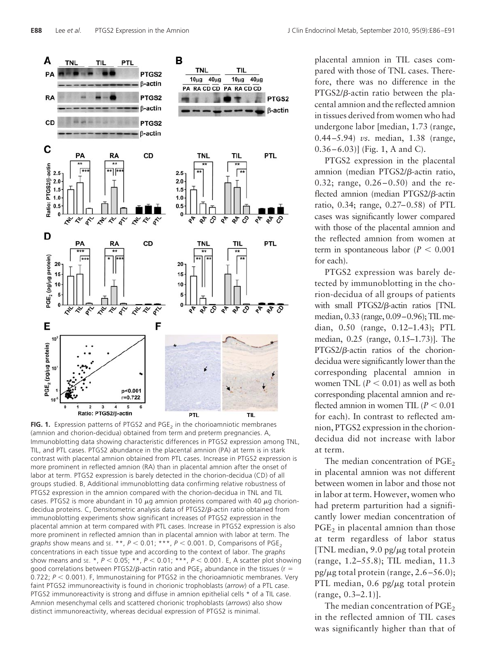

FIG. 1. Expression patterns of PTGS2 and PGE<sub>2</sub> in the chorioamniotic membranes (amnion and chorion-decidua) obtained from term and preterm pregnancies. A, Immunoblotting data showing characteristic differences in PTGS2 expression among TNL, TIL, and PTL cases. PTGS2 abundance in the placental amnion (PA) at term is in stark contrast with placental amnion obtained from PTL cases. Increase in PTGS2 expression is more prominent in reflected amnion (RA) than in placental amnion after the onset of labor at term. PTGS2 expression is barely detected in the chorion-decidua (CD) of all groups studied. B, Additional immunoblotting data confirming relative robustness of PTGS2 expression in the amnion compared with the chorion-decidua in TNL and TIL cases. PTGS2 is more abundant in 10  $\mu$ g amnion proteins compared with 40  $\mu$ g choriondecidua proteins.  $C$ , Densitometric analysis data of PTGS2/ $\beta$ -actin ratio obtained from immunoblotting experiments show significant increases of PTGS2 expression in the placental amnion at term compared with PTL cases. Increase in PTGS2 expression is also more prominent in reflected amnion than in placental amnion with labor at term. The g*raphs* show means and se. \*\*, *P* < 0.01; \*\*\*, *P* < 0.001. D, Comparisons of PGE<sub>2</sub> concentrations in each tissue type and according to the context of labor. The *graphs* show means and sE. \*,  $P < 0.05$ ; \*\*,  $P < 0.01$ ; \*\*\*,  $P < 0.001$ . E, A scatter plot showing good correlations between PTGS2/ß-actin ratio and PGE<sub>2</sub> abundance in the tissues (r = 0.722;  $P <$  0.001). F, Immunostaining for PTGS2 in the chorioamniotic membranes. Very faint PTGS2 immunoreactivity is found in chorionic trophoblasts (*arrow*) of a PTL case. PTGS2 immunoreactivity is strong and diffuse in amnion epithelial cells \* of a TIL case. Amnion mesenchymal cells and scattered chorionic trophoblasts (*arrows*) also show distinct immunoreactivity, whereas decidual expression of PTGS2 is minimal.

placental amnion in TIL cases compared with those of TNL cases. Therefore, there was no difference in the  $PTGS2/\beta$ -actin ratio between the placental amnion and the reflected amnion in tissues derived from women who had undergone labor [median, 1.73 (range, 0.44 –5.94) *vs.* median, 1.38 (range,  $(0.36 - 6.03)$ ] (Fig. 1, A and C).

PTGS2 expression in the placental amnion (median PTGS2/β-actin ratio, 0.32; range,  $0.26 - 0.50$  and the reflected amnion (median PTGS2/β-actin ratio, 0.34; range, 0.27–0.58) of PTL cases was significantly lower compared with those of the placental amnion and the reflected amnion from women at term in spontaneous labor  $(P < 0.001)$ for each).

PTGS2 expression was barely detected by immunoblotting in the chorion-decidua of all groups of patients with small PTGS2/ $\beta$ -actin ratios [TNL median, 0.33 (range, 0.09–0.96); TIL median, 0.50 (range, 0.12–1.43); PTL median, 0.25 (range, 0.15–1.73)]. The  $PTGS2/\beta$ -actin ratios of the choriondecidua were significantly lower than the corresponding placental amnion in women TNL  $(P < 0.01)$  as well as both corresponding placental amnion and reflected amnion in women TIL  $(P < 0.01)$ for each). In contrast to reflected amnion, PTGS2 expression in the choriondecidua did not increase with labor at term.

The median concentration of  $PGE<sub>2</sub>$ in placental amnion was not different between women in labor and those not in labor at term. However, women who had preterm parturition had a significantly lower median concentration of  $PGE<sub>2</sub>$  in placental amnion than those at term regardless of labor status [TNL median,  $9.0$  pg/ $\mu$ g total protein (range, 1.2–55.8); TIL median, 11.3 pg/ $\mu$ g total protein (range, 2.6–56.0); PTL median,  $0.6$  pg/ $\mu$ g total protein (range, 0.3–2.1)].

The median concentration of  $PGE<sub>2</sub>$ in the reflected amnion of TIL cases was significantly higher than that of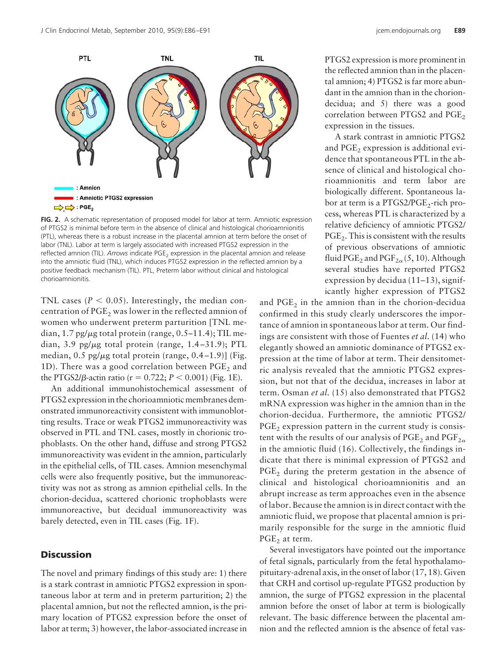

**FIG. 2.** A schematic representation of proposed model for labor at term. Amniotic expression of PTGS2 is minimal before term in the absence of clinical and histological chorioamnionitis (PTL), whereas there is a robust increase in the placental amnion at term before the onset of labor (TNL). Labor at term is largely associated with increased PTGS2 expression in the reflected amnion (TIL). Arrows indicate PGE<sub>2</sub> expression in the placental amnion and release into the amniotic fluid (TNL), which induces PTGS2 expression in the reflected amnion by a positive feedback mechanism (TIL). PTL, Preterm labor without clinical and histological chorioamnionitis.

TNL cases ( $P < 0.05$ ). Interestingly, the median concentration of  $PGE<sub>2</sub>$  was lower in the reflected amnion of women who underwent preterm parturition [TNL median,  $1.7$  pg/ $\mu$ g total protein (range, 0.5–11.4); TIL median, 3.9 pg/ $\mu$ g total protein (range, 1.4–31.9); PTL median,  $0.5$  pg/ $\mu$ g total protein (range,  $0.4-1.9$ )] (Fig. 1D). There was a good correlation between  $PGE<sub>2</sub>$  and the PTGS2/ $\beta$ -actin ratio (r = 0.722;  $P < 0.001$ ) (Fig. 1E).

An additional immunohistochemical assessment of PTGS2 expression in the chorioamniotic membranes demonstrated immunoreactivity consistent with immunoblotting results. Trace or weak PTGS2 immunoreactivity was observed in PTL and TNL cases, mostly in chorionic trophoblasts. On the other hand, diffuse and strong PTGS2 immunoreactivity was evident in the amnion, particularly in the epithelial cells, of TIL cases. Amnion mesenchymal cells were also frequently positive, but the immunoreactivity was not as strong as amnion epithelial cells. In the chorion-decidua, scattered chorionic trophoblasts were immunoreactive, but decidual immunoreactivity was barely detected, even in TIL cases (Fig. 1F).

# **Discussion**

The novel and primary findings of this study are: 1) there is a stark contrast in amniotic PTGS2 expression in spontaneous labor at term and in preterm parturition; 2) the placental amnion, but not the reflected amnion, is the primary location of PTGS2 expression before the onset of labor at term; 3) however, the labor-associated increase in

PTGS2 expression is more prominent in the reflected amnion than in the placental amnion; 4) PTGS2 is far more abundant in the amnion than in the choriondecidua; and 5) there was a good correlation between PTGS2 and  $PGE<sub>2</sub>$ expression in the tissues.

A stark contrast in amniotic PTGS2 and  $PGE<sub>2</sub>$  expression is additional evidence that spontaneous PTL in the absence of clinical and histological chorioamnionitis and term labor are biologically different. Spontaneous labor at term is a  $PTGS2/PGE_2$ -rich process, whereas PTL is characterized by a relative deficiency of amniotic PTGS2/  $PGE<sub>2</sub>$ . This is consistent with the results of previous observations of amniotic fluid PGE<sub>2</sub> and PGF<sub>2 $\alpha$ </sub> (5, 10). Although several studies have reported PTGS2 expression by decidua (11–13), significantly higher expression of PTGS2

and  $PGE<sub>2</sub>$  in the amnion than in the chorion-decidua confirmed in this study clearly underscores the importance of amnion in spontaneous labor at term. Our findings are consistent with those of Fuentes *et al.* (14) who elegantly showed an amniotic dominance of PTGS2 expression at the time of labor at term. Their densitometric analysis revealed that the amniotic PTGS2 expression, but not that of the decidua, increases in labor at term. Osman *et al.* (15) also demonstrated that PTGS2 mRNA expression was higher in the amnion than in the chorion-decidua. Furthermore, the amniotic PTGS2/  $PGE<sub>2</sub>$  expression pattern in the current study is consistent with the results of our analysis of  $PGE_2$  and  $PGF_{2\alpha}$ in the amniotic fluid (16). Collectively, the findings indicate that there is minimal expression of PTGS2 and  $PGE<sub>2</sub>$  during the preterm gestation in the absence of clinical and histological chorioamnionitis and an abrupt increase as term approaches even in the absence of labor. Because the amnion is in direct contact with the amniotic fluid, we propose that placental amnion is primarily responsible for the surge in the amniotic fluid PGE<sub>2</sub> at term.

Several investigators have pointed out the importance of fetal signals, particularly from the fetal hypothalamopituitary-adrenal axis, in the onset of labor (17, 18). Given that CRH and cortisol up-regulate PTGS2 production by amnion, the surge of PTGS2 expression in the placental amnion before the onset of labor at term is biologically relevant. The basic difference between the placental amnion and the reflected amnion is the absence of fetal vas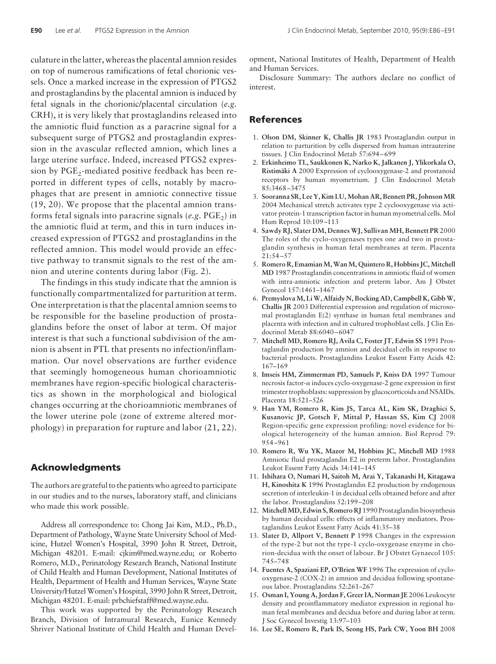culature in the latter, whereas the placental amnion resides on top of numerous ramifications of fetal chorionic vessels. Once a marked increase in the expression of PTGS2 and prostaglandins by the placental amnion is induced by fetal signals in the chorionic/placental circulation (*e.g.* CRH), it is very likely that prostaglandins released into the amniotic fluid function as a paracrine signal for a subsequent surge of PTGS2 and prostaglandin expression in the avascular reflected amnion, which lines a large uterine surface. Indeed, increased PTGS2 expression by PGE<sub>2</sub>-mediated positive feedback has been reported in different types of cells, notably by macrophages that are present in amniotic connective tissue (19, 20). We propose that the placental amnion transforms fetal signals into paracrine signals (e.g. PGE<sub>2</sub>) in the amniotic fluid at term, and this in turn induces increased expression of PTGS2 and prostaglandins in the reflected amnion. This model would provide an effective pathway to transmit signals to the rest of the amnion and uterine contents during labor (Fig. 2).

The findings in this study indicate that the amnion is functionally compartmentalized for parturition at term. One interpretation is that the placental amnion seems to be responsible for the baseline production of prostaglandins before the onset of labor at term. Of major interest is that such a functional subdivision of the amnion is absent in PTL that presents no infection/inflammation. Our novel observations are further evidence that seemingly homogeneous human chorioamniotic membranes have region-specific biological characteristics as shown in the morphological and biological changes occurring at the chorioamniotic membranes of the lower uterine pole (zone of extreme altered morphology) in preparation for rupture and labor (21, 22).

# **Acknowledgments**

The authors are grateful to the patients who agreed to participate in our studies and to the nurses, laboratory staff, and clinicians who made this work possible.

Address all correspondence to: Chong Jai Kim, M.D., Ph.D., Department of Pathology, Wayne State University School of Medicine, Hutzel Women's Hospital, 3990 John R Street, Detroit, Michigan 48201. E-mail: cjkim@med.wayne.edu; or Roberto Romero, M.D., Perinatology Research Branch, National Institute of Child Health and Human Development, National Institutes of Health, Department of Health and Human Services, Wayne State University/Hutzel Women's Hospital, 3990 John R Street, Detroit, Michigan 48201. E-mail: prbchiefstaff@med.wayne.edu.

This work was supported by the Perinatology Research Branch, Division of Intramural Research, Eunice Kennedy Shriver National Institute of Child Health and Human Development, National Institutes of Health, Department of Health and Human Services.

Disclosure Summary: The authors declare no conflict of interest.

# **References**

- 1. **Olson DM, Skinner K, Challis JR** 1983 Prostaglandin output in relation to parturition by cells dispersed from human intrauterine tissues. J Clin Endocrinol Metab 57:694 – 699
- 2. **Erkinheimo TL, Saukkonen K, Narko K, Jalkanen J, Ylikorkala O,** Ristimäki A 2000 Expression of cyclooxygenase-2 and prostanoid receptors by human myometrium. J Clin Endocrinol Metab 85:3468 –3475
- 3. **Sooranna SR, Lee Y, Kim LU, Mohan AR, Bennett PR, Johnson MR** 2004 Mechanical stretch activates type 2 cyclooxygenase via activator protein-1 transcription factor in human myometrial cells. Mol Hum Reprod 10:109 –113
- 4. **Sawdy RJ, Slater DM, DennesWJ, SullivanMH, Bennett PR** 2000 The roles of the cyclo-oxygenases types one and two in prostaglandin synthesis in human fetal membranes at term. Placenta 21:54 –57
- 5. Romero R, Emamian M, Wan M, Quintero R, Hobbins JC, Mitchell **MD** 1987 Prostaglandin concentrations in amniotic fluid of women with intra-amniotic infection and preterm labor. Am J Obstet Gynecol 157:1461–1467
- 6. **Premyslova M, Li W, Alfaidy N, Bocking AD, Campbell K, Gibb W, Challis JR** 2003 Differential expression and regulation of microsomal prostaglandin E(2) synthase in human fetal membranes and placenta with infection and in cultured trophoblast cells. J Clin Endocrinol Metab 88:6040 – 6047
- 7. **Mitchell MD, Romero RJ, Avila C, Foster JT, Edwin SS** 1991 Prostaglandin production by amnion and decidual cells in response to bacterial products. Prostaglandins Leukot Essent Fatty Acids 42: 167–169
- 8. **Imseis HM, Zimmerman PD, Samuels P, Kniss DA** 1997 Tumour necrosis factor- $\alpha$  induces cyclo-oxygenase-2 gene expression in first trimester trophoblasts: suppression by glucocorticoids and NSAIDs. Placenta 18:521–526
- 9. **Han YM, Romero R, Kim JS, Tarca AL, Kim SK, Draghici S, Kusanovic JP, Gotsch F, Mittal P, Hassan SS, Kim CJ** 2008 Region-specific gene expression profiling: novel evidence for biological heterogeneity of the human amnion. Biol Reprod 79: 954 –961
- 10. **Romero R, Wu YK, Mazor M, Hobbins JC, Mitchell MD** 1988 Amniotic fluid prostaglandin E2 in preterm labor. Prostaglandins Leukot Essent Fatty Acids 34:141–145
- 11. **Ishihara O, Numari H, Saitoh M, Arai Y, Takanashi H, Kitagawa H, Kinoshita K** 1996 Prostaglandin E2 production by endogenous secretion of interleukin-1 in decidual cells obtained before and after the labor. Prostaglandins 52:199 –208
- 12. **MitchellMD, Edwin S, Romero RJ** 1990 Prostaglandin biosynthesis by human decidual cells: effects of inflammatory mediators. Prostaglandins Leukot Essent Fatty Acids 41:35–38
- 13. **Slater D, Allport V, Bennett P** 1998 Changes in the expression of the type-2 but not the type-1 cyclo-oxygenase enzyme in chorion-decidua with the onset of labour. Br J Obstet Gynaecol 105: 745–748
- 14. **Fuentes A, Spaziani EP, O'Brien WF** 1996 The expression of cyclooxygenase-2 (COX-2) in amnion and decidua following spontaneous labor. Prostaglandins 52:261–267
- 15. **Osman I, Young A, Jordan F, Greer IA, Norman JE** 2006 Leukocyte density and proinflammatory mediator expression in regional human fetal membranes and decidua before and during labor at term. J Soc Gynecol Investig 13:97–103
- 16. **Lee SE, Romero R, Park IS, Seong HS, Park CW, Yoon BH** 2008